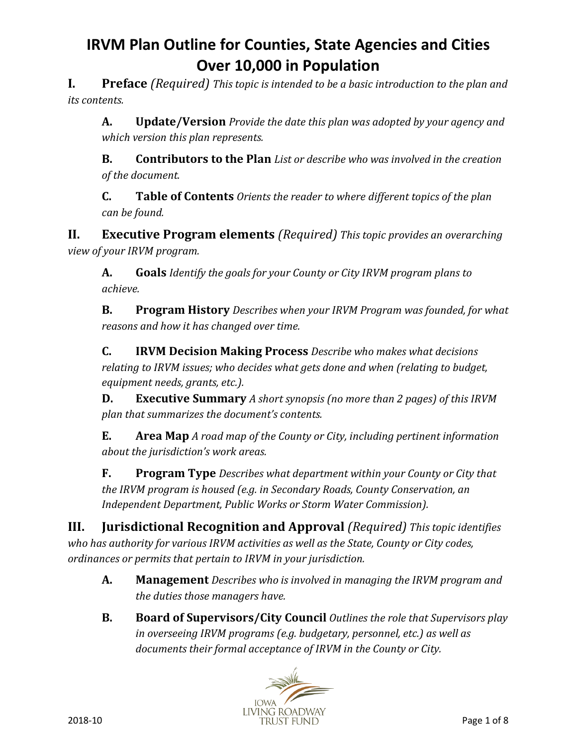**I. Preface** *(Required) This topic is intended to be a basic introduction to the plan and its contents.*

**A. Update/Version** *Provide the date this plan was adopted by your agency and which version this plan represents.*

**B. Contributors to the Plan** *List or describe who was involved in the creation of the document.*

**C. Table of Contents** *Orients the reader to where different topics of the plan can be found.*

**II. Executive Program elements** *(Required) This topic provides an overarching view of your IRVM program.* 

**A. Goals** *Identify the goals for your County or City IRVM program plans to achieve.*

**B. Program History** *Describes when your IRVM Program was founded, for what reasons and how it has changed over time.*

**C. IRVM Decision Making Process** *Describe who makes what decisions relating to IRVM issues; who decides what gets done and when (relating to budget, equipment needs, grants, etc.).*

**D. Executive Summary** *A short synopsis (no more than 2 pages) of this IRVM plan that summarizes the document's contents.*

**E. Area Map** *A road map of the County or City, including pertinent information about the jurisdiction's work areas.*

**F. Program Type** *Describes what department within your County or City that the IRVM program is housed (e.g. in Secondary Roads, County Conservation, an Independent Department, Public Works or Storm Water Commission).*

**III. Jurisdictional Recognition and Approval** *(Required) This topic identifies who has authority for various IRVM activities as well as the State, County or City codes, ordinances or permits that pertain to IRVM in your jurisdiction.*

- **A. Management** *Describes who is involved in managing the IRVM program and the duties those managers have.*
- **B. Board of Supervisors/City Council** *Outlines the role that Supervisors play in overseeing IRVM programs (e.g. budgetary, personnel, etc.) as well as documents their formal acceptance of IRVM in the County or City.*

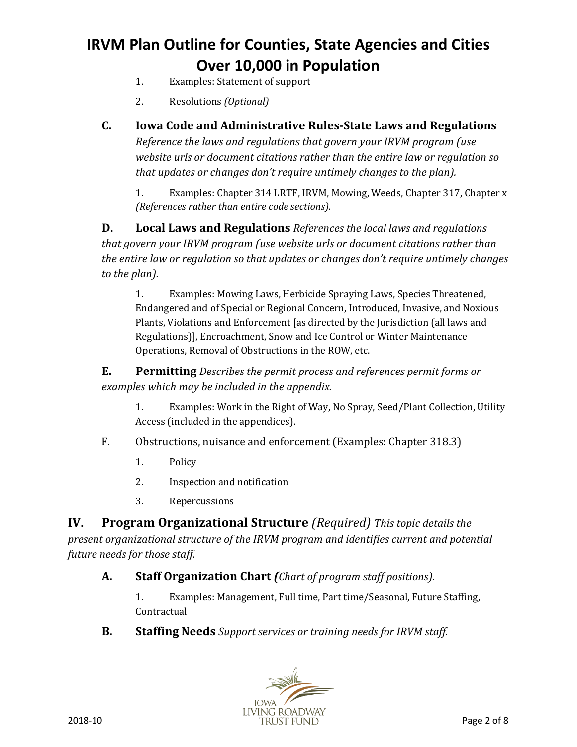- 1. Examples: Statement of support
- 2. Resolutions *(Optional)*
- **C. Iowa Code and Administrative Rules-State Laws and Regulations** *Reference the laws and regulations that govern your IRVM program (use website urls or document citations rather than the entire law or regulation so that updates or changes don't require untimely changes to the plan).*

1. Examples: Chapter 314 LRTF, IRVM, Mowing, Weeds, Chapter 317, Chapter x *(References rather than entire code sections).*

**D. Local Laws and Regulations** *References the local laws and regulations that govern your IRVM program (use website urls or document citations rather than the entire law or regulation so that updates or changes don't require untimely changes to the plan).*

1. Examples: Mowing Laws, Herbicide Spraying Laws, Species Threatened, Endangered and of Special or Regional Concern, Introduced, Invasive, and Noxious Plants, Violations and Enforcement [as directed by the Jurisdiction (all laws and Regulations)], Encroachment, Snow and Ice Control or Winter Maintenance Operations, Removal of Obstructions in the ROW, etc.

**E. Permitting** *Describes the permit process and references permit forms or examples which may be included in the appendix.*

- 1. Examples: Work in the Right of Way, No Spray, Seed/Plant Collection, Utility Access (included in the appendices).
- F. Obstructions, nuisance and enforcement (Examples: Chapter 318.3)
	- 1. Policy
	- 2. Inspection and notification
	- 3. Repercussions

**IV. Program Organizational Structure** *(Required) This topic details the present organizational structure of the IRVM program and identifies current and potential future needs for those staff.*

### **A. Staff Organization Chart** *(Chart of program staff positions).*

1. Examples: Management, Full time, Part time/Seasonal, Future Staffing, Contractual

**B. Staffing Needs** *Support services or training needs for IRVM staff.*

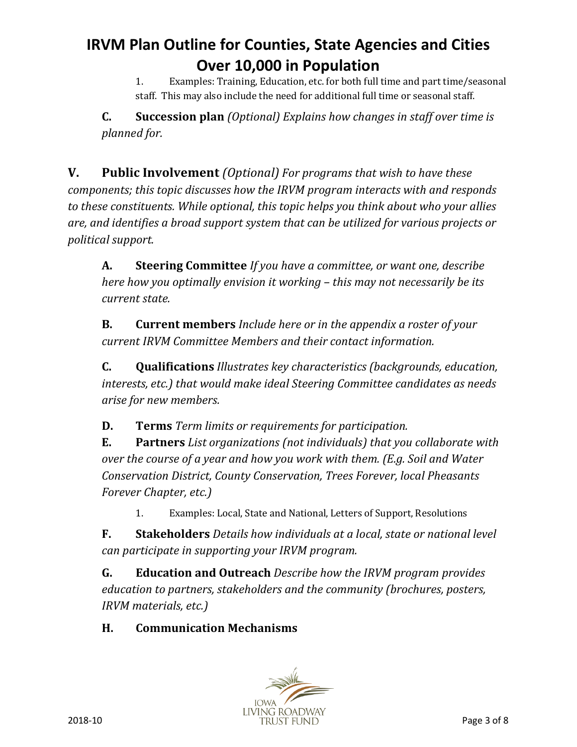1. Examples: Training, Education, etc. for both full time and part time/seasonal staff. This may also include the need for additional full time or seasonal staff.

**C. Succession plan** *(Optional) Explains how changes in staff over time is planned for.*

**V. Public Involvement** *(Optional) For programs that wish to have these components; this topic discusses how the IRVM program interacts with and responds to these constituents. While optional, this topic helps you think about who your allies are, and identifies a broad support system that can be utilized for various projects or political support.*

**A. Steering Committee** *If you have a committee, or want one, describe here how you optimally envision it working – this may not necessarily be its current state.*

**B. Current members** *Include here or in the appendix a roster of your current IRVM Committee Members and their contact information.*

**C. Qualifications** *Illustrates key characteristics (backgrounds, education, interests, etc.) that would make ideal Steering Committee candidates as needs arise for new members.*

**D. Terms** *Term limits or requirements for participation.*

**E. Partners** *List organizations (not individuals) that you collaborate with over the course of a year and how you work with them. (E.g. Soil and Water Conservation District, County Conservation, Trees Forever, local Pheasants Forever Chapter, etc.)*

1. Examples: Local, State and National, Letters of Support, Resolutions

**F. Stakeholders** *Details how individuals at a local, state or national level can participate in supporting your IRVM program.*

**G. Education and Outreach** *Describe how the IRVM program provides education to partners, stakeholders and the community (brochures, posters, IRVM materials, etc.)*

## **H. Communication Mechanisms**

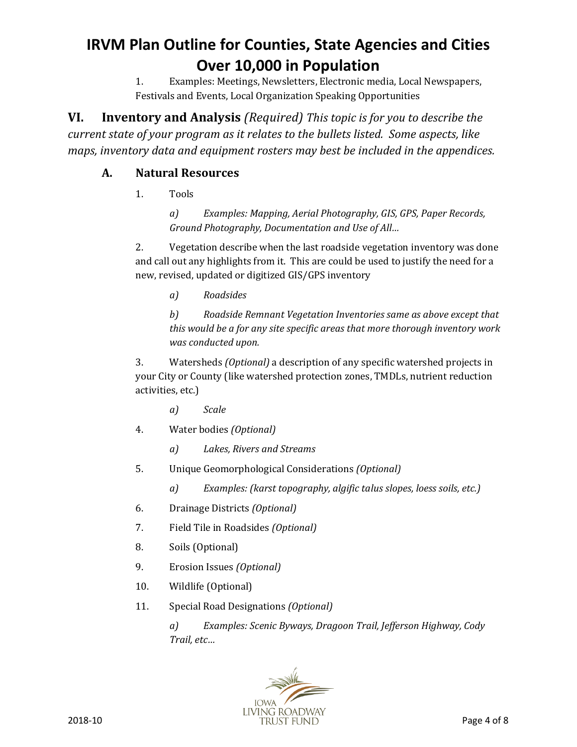1. Examples: Meetings, Newsletters, Electronic media, Local Newspapers, Festivals and Events, Local Organization Speaking Opportunities

**VI. Inventory and Analysis** *(Required) This topic is for you to describe the current state of your program as it relates to the bullets listed. Some aspects, like maps, inventory data and equipment rosters may best be included in the appendices.*

### **A. Natural Resources**

1. Tools

*a) Examples: Mapping, Aerial Photography, GIS, GPS, Paper Records, Ground Photography, Documentation and Use of All…*

2. Vegetation describe when the last roadside vegetation inventory was done and call out any highlights from it. This are could be used to justify the need for a new, revised, updated or digitized GIS/GPS inventory

*a) Roadsides*

*b) Roadside Remnant Vegetation Inventories same as above except that this would be a for any site specific areas that more thorough inventory work was conducted upon.* 

3. Watersheds *(Optional)* a description of any specific watershed projects in your City or County (like watershed protection zones, TMDLs, nutrient reduction activities, etc.)

- *a) Scale*
- 4. Water bodies *(Optional)*
	- *a) Lakes, Rivers and Streams*
- 5. Unique Geomorphological Considerations *(Optional)*
	- *a) Examples: (karst topography, algific talus slopes, loess soils, etc.)*
- 6. Drainage Districts *(Optional)*
- 7. Field Tile in Roadsides *(Optional)*
- 8. Soils (Optional)
- 9. Erosion Issues *(Optional)*
- 10. Wildlife (Optional)
- 11. Special Road Designations *(Optional)*

*a) Examples: Scenic Byways, Dragoon Trail, Jefferson Highway, Cody Trail, etc…*

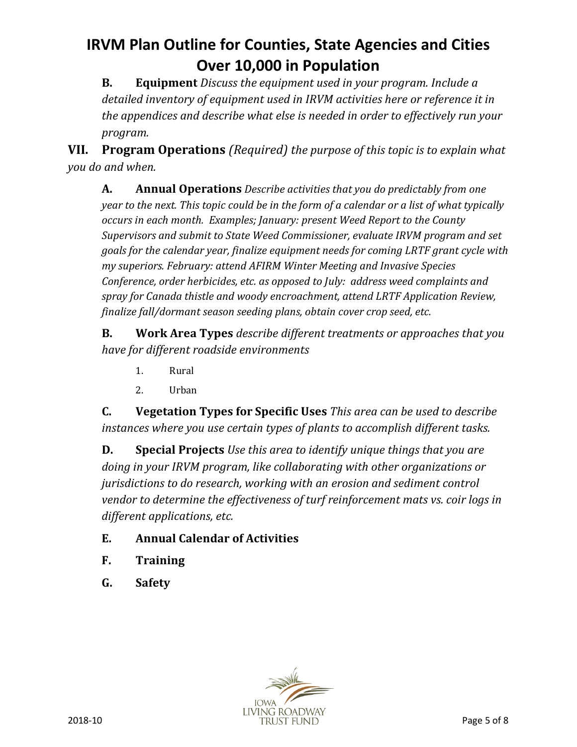**B. Equipment** *Discuss the equipment used in your program. Include a detailed inventory of equipment used in IRVM activities here or reference it in the appendices and describe what else is needed in order to effectively run your program.*

**VII. Program Operations** *(Required) the purpose of this topic is to explain what you do and when.*

**A. Annual Operations** *Describe activities that you do predictably from one year to the next. This topic could be in the form of a calendar or a list of what typically occurs in each month. Examples; January: present Weed Report to the County Supervisors and submit to State Weed Commissioner, evaluate IRVM program and set goals for the calendar year, finalize equipment needs for coming LRTF grant cycle with my superiors. February: attend AFIRM Winter Meeting and Invasive Species Conference, order herbicides, etc. as opposed to July: address weed complaints and spray for Canada thistle and woody encroachment, attend LRTF Application Review, finalize fall/dormant season seeding plans, obtain cover crop seed, etc.*

**B. Work Area Types** *describe different treatments or approaches that you have for different roadside environments*

- 1. Rural
- 2. Urban

**C. Vegetation Types for Specific Uses** *This area can be used to describe instances where you use certain types of plants to accomplish different tasks.*

**D. Special Projects** *Use this area to identify unique things that you are doing in your IRVM program, like collaborating with other organizations or jurisdictions to do research, working with an erosion and sediment control vendor to determine the effectiveness of turf reinforcement mats vs. coir logs in different applications, etc.*

- **E. Annual Calendar of Activities**
- **F. Training**
- **G. Safety**

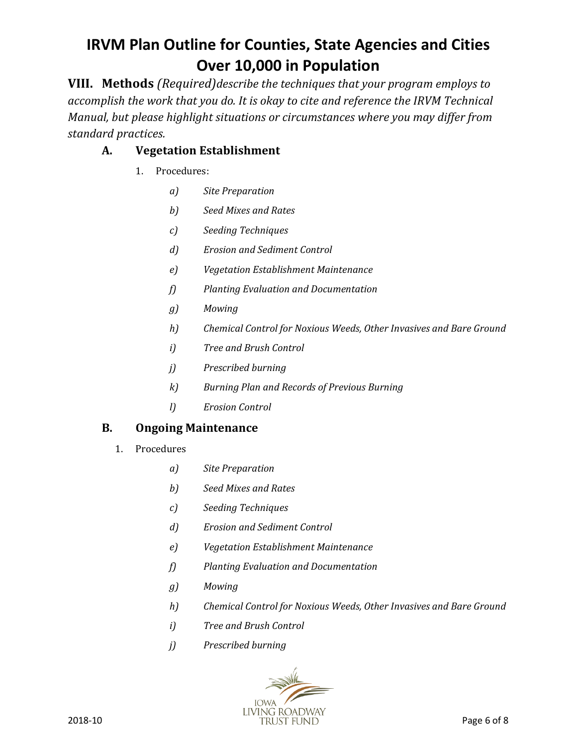**VIII. Methods** *(Required)describe the techniques that your program employs to accomplish the work that you do. It is okay to cite and reference the IRVM Technical Manual, but please highlight situations or circumstances where you may differ from standard practices.*

## **A. Vegetation Establishment**

- 1. Procedures:
	- *a) Site Preparation*
	- *b) Seed Mixes and Rates*
	- *c) Seeding Techniques*
	- *d) Erosion and Sediment Control*
	- *e) Vegetation Establishment Maintenance*
	- *f) Planting Evaluation and Documentation*
	- *g) Mowing*
	- *h) Chemical Control for Noxious Weeds, Other Invasives and Bare Ground*
	- *i) Tree and Brush Control*
	- *j) Prescribed burning*
	- *k) Burning Plan and Records of Previous Burning*
	- *l) Erosion Control*

### **B. Ongoing Maintenance**

- 1. Procedures
	- *a) Site Preparation*
	- *b) Seed Mixes and Rates*
	- *c) Seeding Techniques*
	- *d) Erosion and Sediment Control*
	- *e) Vegetation Establishment Maintenance*
	- *f) Planting Evaluation and Documentation*
	- *g) Mowing*
	- *h) Chemical Control for Noxious Weeds, Other Invasives and Bare Ground*
	- *i) Tree and Brush Control*
	- *j) Prescribed burning*

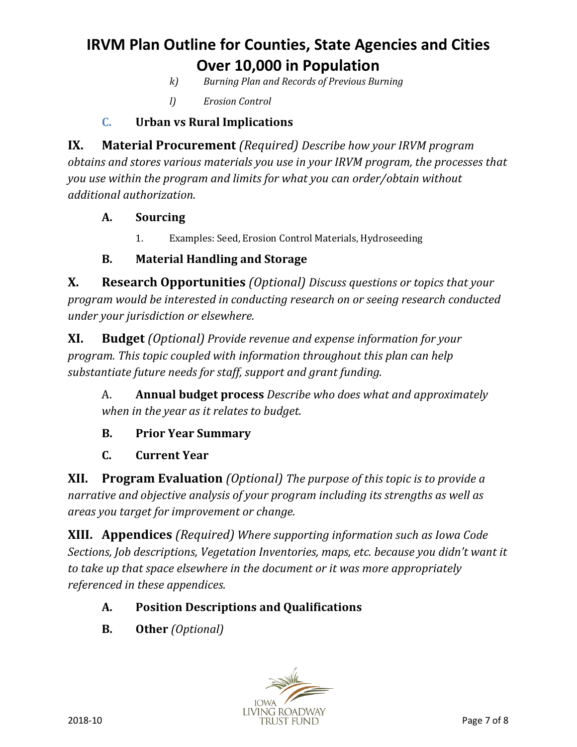- *k) Burning Plan and Records of Previous Burning*
- *l) Erosion Control*

### **C. Urban vs Rural Implications**

**IX. Material Procurement** *(Required) Describe how your IRVM program obtains and stores various materials you use in your IRVM program, the processes that you use within the program and limits for what you can order/obtain without additional authorization.*

### **A. Sourcing**

1. Examples: Seed, Erosion Control Materials, Hydroseeding

### **B. Material Handling and Storage**

**X. Research Opportunities** *(Optional) Discuss questions or topics that your program would be interested in conducting research on or seeing research conducted under your jurisdiction or elsewhere.*

**XI. Budget** *(Optional) Provide revenue and expense information for your program. This topic coupled with information throughout this plan can help substantiate future needs for staff, support and grant funding.*

A. **Annual budget process** *Describe who does what and approximately when in the year as it relates to budget.*

### **B. Prior Year Summary**

**C. Current Year**

**XII. Program Evaluation** *(Optional) The purpose of this topic is to provide a narrative and objective analysis of your program including its strengths as well as areas you target for improvement or change.*

**XIII. Appendices** *(Required) Where supporting information such as Iowa Code Sections, Job descriptions, Vegetation Inventories, maps, etc. because you didn't want it to take up that space elsewhere in the document or it was more appropriately referenced in these appendices.*

## **A. Position Descriptions and Qualifications**

**B. Other** *(Optional)*